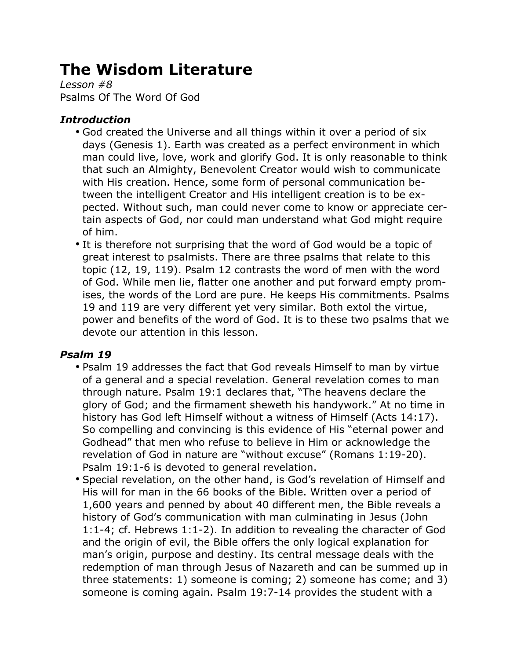# **The Wisdom Literature**

*Lesson #8* Psalms Of The Word Of God

## *Introduction*

- God created the Universe and all things within it over a period of six days (Genesis 1). Earth was created as a perfect environment in which man could live, love, work and glorify God. It is only reasonable to think that such an Almighty, Benevolent Creator would wish to communicate with His creation. Hence, some form of personal communication between the intelligent Creator and His intelligent creation is to be expected. Without such, man could never come to know or appreciate certain aspects of God, nor could man understand what God might require of him.
- It is therefore not surprising that the word of God would be a topic of great interest to psalmists. There are three psalms that relate to this topic (12, 19, 119). Psalm 12 contrasts the word of men with the word of God. While men lie, flatter one another and put forward empty promises, the words of the Lord are pure. He keeps His commitments. Psalms 19 and 119 are very different yet very similar. Both extol the virtue, power and benefits of the word of God. It is to these two psalms that we devote our attention in this lesson.

## *Psalm 19*

- Psalm 19 addresses the fact that God reveals Himself to man by virtue of a general and a special revelation. General revelation comes to man through nature. Psalm 19:1 declares that, "The heavens declare the glory of God; and the firmament sheweth his handywork." At no time in history has God left Himself without a witness of Himself (Acts 14:17). So compelling and convincing is this evidence of His "eternal power and Godhead" that men who refuse to believe in Him or acknowledge the revelation of God in nature are "without excuse" (Romans 1:19-20). Psalm 19:1-6 is devoted to general revelation.
- Special revelation, on the other hand, is God's revelation of Himself and His will for man in the 66 books of the Bible. Written over a period of 1,600 years and penned by about 40 different men, the Bible reveals a history of God's communication with man culminating in Jesus (John 1:1-4; cf. Hebrews 1:1-2). In addition to revealing the character of God and the origin of evil, the Bible offers the only logical explanation for man's origin, purpose and destiny. Its central message deals with the redemption of man through Jesus of Nazareth and can be summed up in three statements: 1) someone is coming; 2) someone has come; and 3) someone is coming again. Psalm 19:7-14 provides the student with a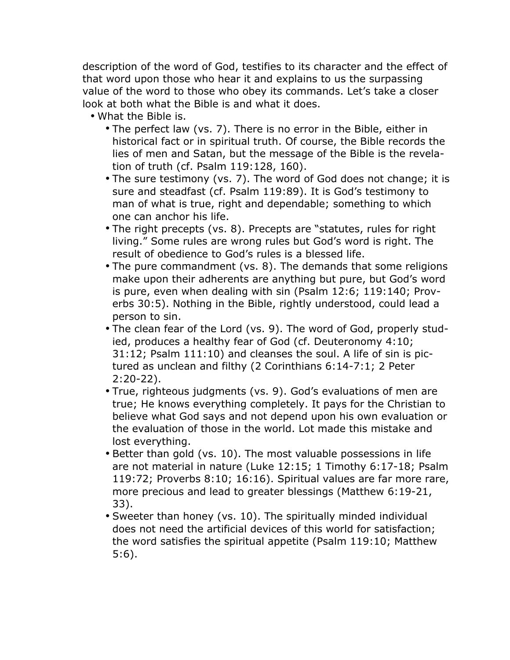description of the word of God, testifies to its character and the effect of that word upon those who hear it and explains to us the surpassing value of the word to those who obey its commands. Let's take a closer look at both what the Bible is and what it does.

- What the Bible is.
	- The perfect law (vs. 7). There is no error in the Bible, either in historical fact or in spiritual truth. Of course, the Bible records the lies of men and Satan, but the message of the Bible is the revelation of truth (cf. Psalm 119:128, 160).
	- The sure testimony (vs. 7). The word of God does not change; it is sure and steadfast (cf. Psalm 119:89). It is God's testimony to man of what is true, right and dependable; something to which one can anchor his life.
	- The right precepts (vs. 8). Precepts are "statutes, rules for right living." Some rules are wrong rules but God's word is right. The result of obedience to God's rules is a blessed life.
	- The pure commandment (vs. 8). The demands that some religions make upon their adherents are anything but pure, but God's word is pure, even when dealing with sin (Psalm 12:6; 119:140; Proverbs 30:5). Nothing in the Bible, rightly understood, could lead a person to sin.
	- The clean fear of the Lord (vs. 9). The word of God, properly studied, produces a healthy fear of God (cf. Deuteronomy 4:10; 31:12; Psalm 111:10) and cleanses the soul. A life of sin is pictured as unclean and filthy (2 Corinthians 6:14-7:1; 2 Peter 2:20-22).
	- True, righteous judgments (vs. 9). God's evaluations of men are true; He knows everything completely. It pays for the Christian to believe what God says and not depend upon his own evaluation or the evaluation of those in the world. Lot made this mistake and lost everything.
	- Better than gold (vs. 10). The most valuable possessions in life are not material in nature (Luke 12:15; 1 Timothy 6:17-18; Psalm 119:72; Proverbs 8:10; 16:16). Spiritual values are far more rare, more precious and lead to greater blessings (Matthew 6:19-21, 33).
	- Sweeter than honey (vs. 10). The spiritually minded individual does not need the artificial devices of this world for satisfaction; the word satisfies the spiritual appetite (Psalm 119:10; Matthew 5:6).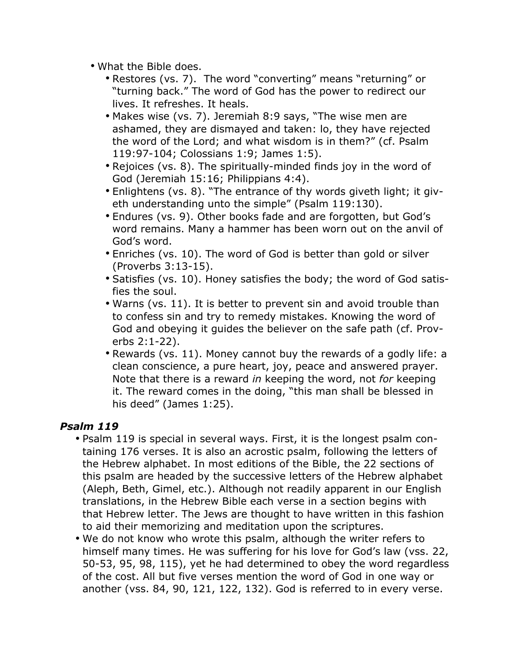- What the Bible does.
	- Restores (vs. 7). The word "converting" means "returning" or "turning back." The word of God has the power to redirect our lives. It refreshes. It heals.
	- Makes wise (vs. 7). Jeremiah 8:9 says, "The wise men are ashamed, they are dismayed and taken: lo, they have rejected the word of the Lord; and what wisdom is in them?" (cf. Psalm 119:97-104; Colossians 1:9; James 1:5).
	- Rejoices (vs. 8). The spiritually-minded finds joy in the word of God (Jeremiah 15:16; Philippians 4:4).
	- Enlightens (vs. 8). "The entrance of thy words giveth light; it giveth understanding unto the simple" (Psalm 119:130).
	- Endures (vs. 9). Other books fade and are forgotten, but God's word remains. Many a hammer has been worn out on the anvil of God's word.
	- Enriches (vs. 10). The word of God is better than gold or silver (Proverbs 3:13-15).
	- Satisfies (vs. 10). Honey satisfies the body; the word of God satisfies the soul.
	- Warns (vs. 11). It is better to prevent sin and avoid trouble than to confess sin and try to remedy mistakes. Knowing the word of God and obeying it guides the believer on the safe path (cf. Proverbs 2:1-22).
	- Rewards (vs. 11). Money cannot buy the rewards of a godly life: a clean conscience, a pure heart, joy, peace and answered prayer. Note that there is a reward *in* keeping the word, not *for* keeping it. The reward comes in the doing, "this man shall be blessed in his deed" (James 1:25).

### *Psalm 119*

- Psalm 119 is special in several ways. First, it is the longest psalm containing 176 verses. It is also an acrostic psalm, following the letters of the Hebrew alphabet. In most editions of the Bible, the 22 sections of this psalm are headed by the successive letters of the Hebrew alphabet (Aleph, Beth, Gimel, etc.). Although not readily apparent in our English translations, in the Hebrew Bible each verse in a section begins with that Hebrew letter. The Jews are thought to have written in this fashion to aid their memorizing and meditation upon the scriptures.
- We do not know who wrote this psalm, although the writer refers to himself many times. He was suffering for his love for God's law (vss. 22, 50-53, 95, 98, 115), yet he had determined to obey the word regardless of the cost. All but five verses mention the word of God in one way or another (vss. 84, 90, 121, 122, 132). God is referred to in every verse.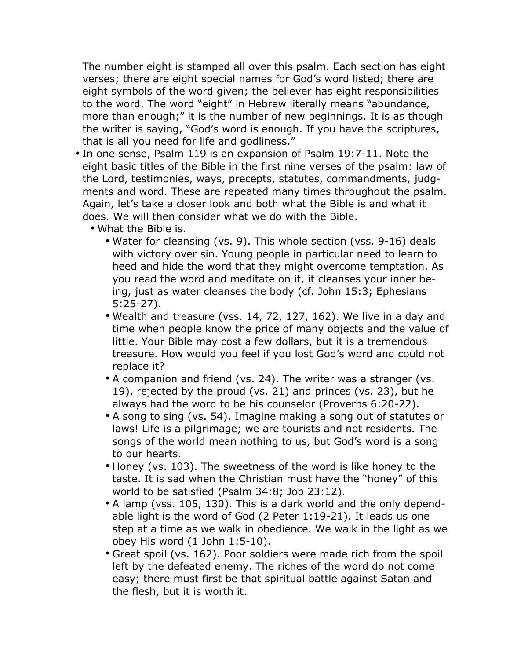The number eight is stamped all over this psalm. Each section has eight verses; there are eight special names for God's word listed; there are eight symbols of the word given; the believer has eight responsibilities to the word. The word "eight" in Hebrew literally means "abundance, more than enough;" it is the number of new beginnings. It is as though the writer is saying, "God's word is enough. If you have the scriptures, that is all you need for life and godliness."

- In one sense, Psalm 119 is an expansion of Psalm 19:7-11. Note the eight basic titles of the Bible in the first nine verses of the psalm: law of the Lord, testimonies, ways, precepts, statutes, commandments, judgments and word. These are repeated many times throughout the psalm. Again, let's take a closer look and both what the Bible is and what it does. We will then consider what we do with the Bible.
	- What the Bible is.
		- Water for cleansing (vs. 9). This whole section (vss. 9-16) deals with victory over sin. Young people in particular need to learn to heed and hide the word that they might overcome temptation. As you read the word and meditate on it, it cleanses your inner being, just as water cleanses the body (cf. John 15:3; Ephesians 5:25-27).
		- Wealth and treasure (vss. 14, 72, 127, 162). We live in a day and time when people know the price of many objects and the value of little. Your Bible may cost a few dollars, but it is a tremendous treasure. How would you feel if you lost God's word and could not replace it?
		- A companion and friend (vs. 24). The writer was a stranger (vs. 19), rejected by the proud (vs. 21) and princes (vs. 23), but he always had the word to be his counselor (Proverbs 6:20-22).
		- A song to sing (vs. 54). Imagine making a song out of statutes or laws! Life is a pilgrimage; we are tourists and not residents. The songs of the world mean nothing to us, but God's word is a song to our hearts.
		- Honey (vs. 103). The sweetness of the word is like honey to the taste. It is sad when the Christian must have the "honey" of this world to be satisfied (Psalm 34:8; Job 23:12).
		- A lamp (vss. 105, 130). This is a dark world and the only dependable light is the word of God (2 Peter 1:19-21). It leads us one step at a time as we walk in obedience. We walk in the light as we obey His word (1 John 1:5-10).
		- Great spoil (vs. 162). Poor soldiers were made rich from the spoil left by the defeated enemy. The riches of the word do not come easy; there must first be that spiritual battle against Satan and the flesh, but it is worth it.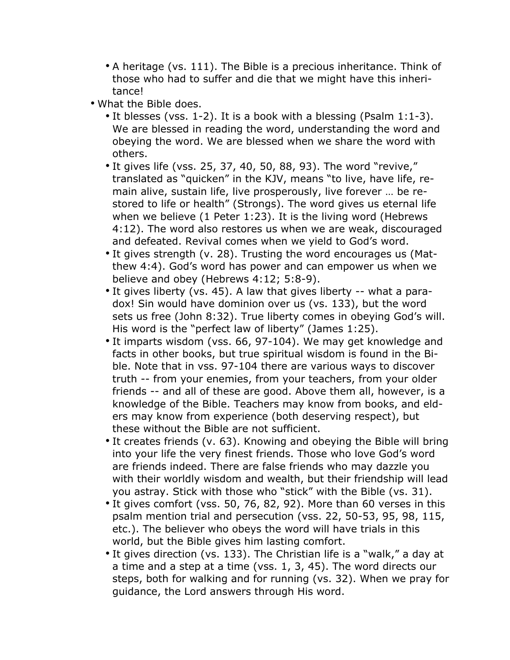- A heritage (vs. 111). The Bible is a precious inheritance. Think of those who had to suffer and die that we might have this inheritance!
- What the Bible does.
	- It blesses (vss. 1-2). It is a book with a blessing (Psalm 1:1-3). We are blessed in reading the word, understanding the word and obeying the word. We are blessed when we share the word with others.
	- It gives life (vss. 25, 37, 40, 50, 88, 93). The word "revive," translated as "quicken" in the KJV, means "to live, have life, remain alive, sustain life, live prosperously, live forever … be restored to life or health" (Strongs). The word gives us eternal life when we believe (1 Peter 1:23). It is the living word (Hebrews 4:12). The word also restores us when we are weak, discouraged and defeated. Revival comes when we yield to God's word.
	- It gives strength (v. 28). Trusting the word encourages us (Matthew 4:4). God's word has power and can empower us when we believe and obey (Hebrews 4:12; 5:8-9).
	- It gives liberty (vs. 45). A law that gives liberty -- what a paradox! Sin would have dominion over us (vs. 133), but the word sets us free (John 8:32). True liberty comes in obeying God's will. His word is the "perfect law of liberty" (James 1:25).
	- It imparts wisdom (vss. 66, 97-104). We may get knowledge and facts in other books, but true spiritual wisdom is found in the Bible. Note that in vss. 97-104 there are various ways to discover truth -- from your enemies, from your teachers, from your older friends -- and all of these are good. Above them all, however, is a knowledge of the Bible. Teachers may know from books, and elders may know from experience (both deserving respect), but these without the Bible are not sufficient.
	- It creates friends (v. 63). Knowing and obeying the Bible will bring into your life the very finest friends. Those who love God's word are friends indeed. There are false friends who may dazzle you with their worldly wisdom and wealth, but their friendship will lead you astray. Stick with those who "stick" with the Bible (vs. 31).
	- It gives comfort (vss. 50, 76, 82, 92). More than 60 verses in this psalm mention trial and persecution (vss. 22, 50-53, 95, 98, 115, etc.). The believer who obeys the word will have trials in this world, but the Bible gives him lasting comfort.
	- It gives direction (vs. 133). The Christian life is a "walk," a day at a time and a step at a time (vss. 1, 3, 45). The word directs our steps, both for walking and for running (vs. 32). When we pray for guidance, the Lord answers through His word.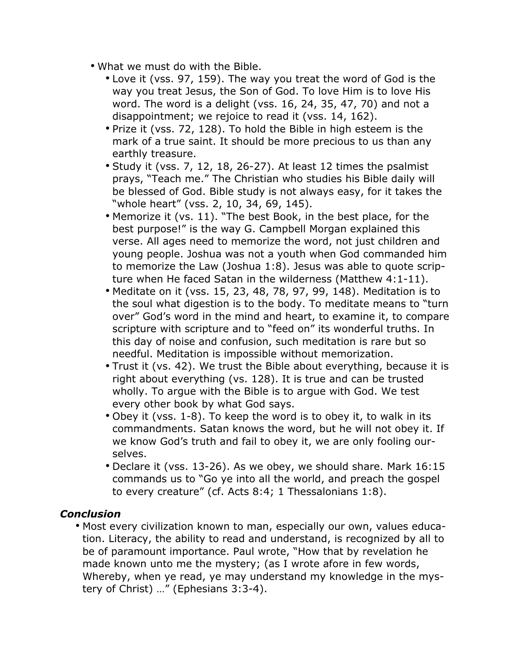- What we must do with the Bible.
	- Love it (vss. 97, 159). The way you treat the word of God is the way you treat Jesus, the Son of God. To love Him is to love His word. The word is a delight (vss. 16, 24, 35, 47, 70) and not a disappointment; we rejoice to read it (vss. 14, 162).
	- Prize it (vss. 72, 128). To hold the Bible in high esteem is the mark of a true saint. It should be more precious to us than any earthly treasure.
	- Study it (vss. 7, 12, 18, 26-27). At least 12 times the psalmist prays, "Teach me." The Christian who studies his Bible daily will be blessed of God. Bible study is not always easy, for it takes the "whole heart" (vss. 2, 10, 34, 69, 145).
	- Memorize it (vs. 11). "The best Book, in the best place, for the best purpose!" is the way G. Campbell Morgan explained this verse. All ages need to memorize the word, not just children and young people. Joshua was not a youth when God commanded him to memorize the Law (Joshua 1:8). Jesus was able to quote scripture when He faced Satan in the wilderness (Matthew 4:1-11).
	- Meditate on it (vss. 15, 23, 48, 78, 97, 99, 148). Meditation is to the soul what digestion is to the body. To meditate means to "turn over" God's word in the mind and heart, to examine it, to compare scripture with scripture and to "feed on" its wonderful truths. In this day of noise and confusion, such meditation is rare but so needful. Meditation is impossible without memorization.
	- Trust it (vs. 42). We trust the Bible about everything, because it is right about everything (vs. 128). It is true and can be trusted wholly. To argue with the Bible is to argue with God. We test every other book by what God says.
	- Obey it (vss. 1-8). To keep the word is to obey it, to walk in its commandments. Satan knows the word, but he will not obey it. If we know God's truth and fail to obey it, we are only fooling ourselves.
	- Declare it (vss. 13-26). As we obey, we should share. Mark 16:15 commands us to "Go ye into all the world, and preach the gospel to every creature" (cf. Acts 8:4; 1 Thessalonians 1:8).

### *Conclusion*

• Most every civilization known to man, especially our own, values education. Literacy, the ability to read and understand, is recognized by all to be of paramount importance. Paul wrote, "How that by revelation he made known unto me the mystery; (as I wrote afore in few words, Whereby, when ye read, ye may understand my knowledge in the mystery of Christ) …" (Ephesians 3:3-4).